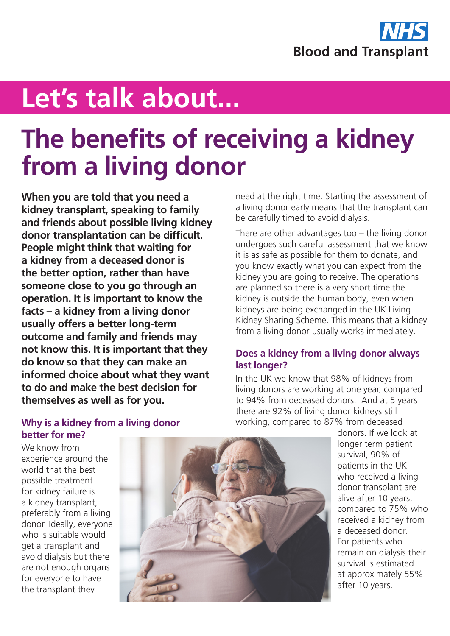

# **Let's talk about...**

## **The benefits of receiving a kidney from a living donor**

**When you are told that you need a kidney transplant, speaking to family and friends about possible living kidney donor transplantation can be difficult. People might think that waiting for a kidney from a deceased donor is the better option, rather than have someone close to you go through an operation. It is important to know the facts – a kidney from a living donor usually offers a better long-term outcome and family and friends may not know this. It is important that they do know so that they can make an informed choice about what they want to do and make the best decision for themselves as well as for you.**

need at the right time. Starting the assessment of a living donor early means that the transplant can be carefully timed to avoid dialysis.

There are other advantages too – the living donor undergoes such careful assessment that we know it is as safe as possible for them to donate, and you know exactly what you can expect from the kidney you are going to receive. The operations are planned so there is a very short time the kidney is outside the human body, even when kidneys are being exchanged in the UK Living Kidney Sharing Scheme. This means that a kidney from a living donor usually works immediately.

#### **Does a kidney from a living donor always last longer?**

In the UK we know that 98% of kidneys from living donors are working at one year, compared to 94% from deceased donors. And at 5 years there are 92% of living donor kidneys still working, compared to 87% from deceased

We know from experience around the world that the best possible treatment for kidney failure is a kidney transplant, preferably from a living donor. Ideally, everyone who is suitable would get a transplant and avoid dialysis but there are not enough organs for everyone to have the transplant they



donors. If we look at longer term patient survival, 90% of patients in the UK who received a living donor transplant are alive after 10 years, compared to 75% who received a kidney from a deceased donor. For patients who remain on dialysis their survival is estimated at approximately 55% after 10 years.

#### **Why is a kidney from a living donor better for me?**